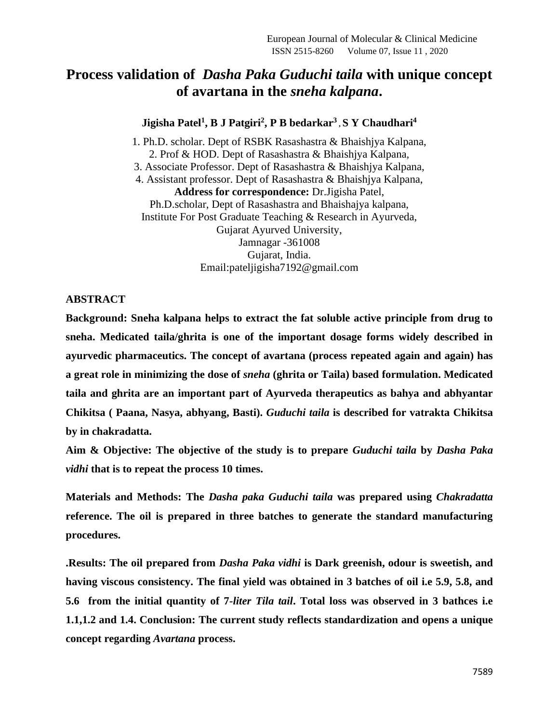# **Process validation of** *Dasha Paka Guduchi taila* **with unique concept of avartana in the** *sneha kalpana***.**

#### **Jigisha Patel<sup>1</sup> , B J Patgiri<sup>2</sup> , P B bedarkar<sup>3</sup> , S Y Chaudhari<sup>4</sup>**

1. Ph.D. scholar. Dept of RSBK Rasashastra & Bhaishjya Kalpana, 2. Prof & HOD. Dept of Rasashastra & Bhaishjya Kalpana, 3. Associate Professor. Dept of Rasashastra & Bhaishjya Kalpana, 4. Assistant professor. Dept of Rasashastra & Bhaishjya Kalpana, **Address for correspondence:** Dr.Jigisha Patel, Ph.D.scholar, Dept of Rasashastra and Bhaishajya kalpana, Institute For Post Graduate Teaching & Research in Ayurveda, Gujarat Ayurved University, Jamnagar -361008 Gujarat, India. Email:pateljigisha7192@gmail.com

#### **ABSTRACT**

**Background: Sneha kalpana helps to extract the fat soluble active principle from drug to sneha. Medicated taila/ghrita is one of the important dosage forms widely described in ayurvedic pharmaceutics. The concept of avartana (process repeated again and again) has a great role in minimizing the dose of** *sneha* **(ghrita or Taila) based formulation. Medicated taila and ghrita are an important part of Ayurveda therapeutics as bahya and abhyantar Chikitsa ( Paana, Nasya, abhyang, Basti).** *Guduchi taila* **is described for vatrakta Chikitsa by in chakradatta.**

**Aim & Objective: The objective of the study is to prepare** *Guduchi taila* **by** *Dasha Paka vidhi* **that is to repeat the process 10 times.**

**Materials and Methods: The** *Dasha paka Guduchi taila* **was prepared using** *Chakradatta*  **reference. The oil is prepared in three batches to generate the standard manufacturing procedures.**

**.Results: The oil prepared from** *Dasha Paka vidhi* **is Dark greenish, odour is sweetish, and having viscous consistency. The final yield was obtained in 3 batches of oil i.e 5.9, 5.8, and 5.6 from the initial quantity of 7***-liter Tila tail***. Total loss was observed in 3 bathces i.e 1.1,1.2 and 1.4. Conclusion: The current study reflects standardization and opens a unique concept regarding** *Avartana* **process.**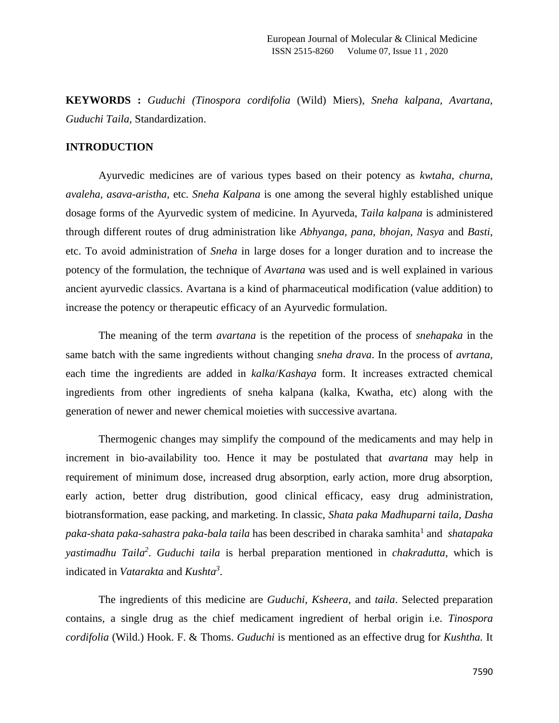**KEYWORDS :** *Guduchi (Tinospora cordifolia* (Wild) Miers), *Sneha kalpana, Avartana, Guduchi Taila,* Standardization.

## **INTRODUCTION**

Ayurvedic medicines are of various types based on their potency as *kwtaha*, *churna*, *avaleha*, *asava*-*aristha*, etc*. Sneha Kalpana* is one among the several highly established unique dosage forms of the Ayurvedic system of medicine. In Ayurveda, *Taila kalpana* is administered through different routes of drug administration like *Abhyanga, pana, bhojan, Nasya* and *Basti*, etc. To avoid administration of *Sneha* in large doses for a longer duration and to increase the potency of the formulation, the technique of *Avartana* was used and is well explained in various ancient ayurvedic classics. Avartana is a kind of pharmaceutical modification (value addition) to increase the potency or therapeutic efficacy of an Ayurvedic formulation.

The meaning of the term *avartana* is the repetition of the process of *snehapaka* in the same batch with the same ingredients without changing *sneha drava*. In the process of *avrtana,* each time the ingredients are added in *kalka*/*Kashaya* form. It increases extracted chemical ingredients from other ingredients of sneha kalpana (kalka, Kwatha, etc) along with the generation of newer and newer chemical moieties with successive avartana.

Thermogenic changes may simplify the compound of the medicaments and may help in increment in bio-availability too. Hence it may be postulated that *avartana* may help in requirement of minimum dose, increased drug absorption, early action, more drug absorption, early action, better drug distribution, good clinical efficacy, easy drug administration, biotransformation, ease packing, and marketing. In classic, *Shata paka Madhuparni taila, Dasha paka-shata paka-sahastra paka-bala taila* has been described in charaka samhita<sup>1</sup> and *shatapaka yastimadhu Taila<sup>2</sup>* . *Guduchi taila* is herbal preparation mentioned in *chakradutta*, which is indicated in *Vatarakta* and *Kushta<sup>3</sup>* .

The ingredients of this medicine are *Guduchi*, *Ksheera*, and *taila*. Selected preparation contains, a single drug as the chief medicament ingredient of herbal origin i.e. *Tinospora cordifolia* (Wild.) Hook. F. & Thoms. *Guduchi* is mentioned as an effective drug for *Kushtha.* It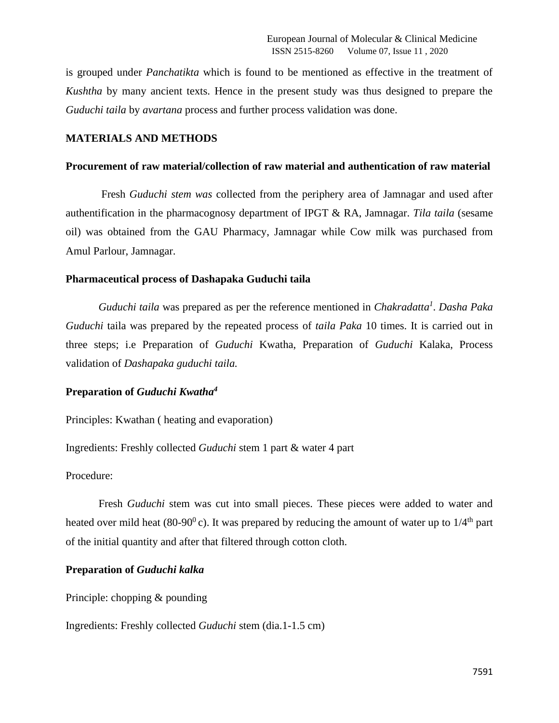is grouped under *Panchatikta* which is found to be mentioned as effective in the treatment of *Kushtha* by many ancient texts. Hence in the present study was thus designed to prepare the *Guduchi taila* by *avartana* process and further process validation was done.

#### **MATERIALS AND METHODS**

#### **Procurement of raw material/collection of raw material and authentication of raw material**

Fresh *Guduchi stem was* collected from the periphery area of Jamnagar and used after authentification in the pharmacognosy department of IPGT & RA, Jamnagar. *Tila taila* (sesame oil) was obtained from the GAU Pharmacy, Jamnagar while Cow milk was purchased from Amul Parlour, Jamnagar.

#### **Pharmaceutical process of Dashapaka Guduchi taila**

*Guduchi taila* was prepared as per the reference mentioned in *Chakradatta<sup>1</sup>* . *Dasha Paka Guduchi* taila was prepared by the repeated process of *taila Paka* 10 times. It is carried out in three steps; i.e Preparation of *Guduchi* Kwatha, Preparation of *Guduchi* Kalaka, Process validation of *Dashapaka guduchi taila.*

#### **Preparation of** *Guduchi Kwatha<sup>4</sup>*

Principles: Kwathan ( heating and evaporation)

Ingredients: Freshly collected *Guduchi* stem 1 part & water 4 part

Procedure:

Fresh *Guduchi* stem was cut into small pieces. These pieces were added to water and heated over mild heat (80-90<sup>0</sup>c). It was prepared by reducing the amount of water up to  $1/4<sup>th</sup>$  part of the initial quantity and after that filtered through cotton cloth.

#### **Preparation of** *Guduchi kalka*

Principle: chopping & pounding

Ingredients: Freshly collected *Guduchi* stem (dia.1-1.5 cm)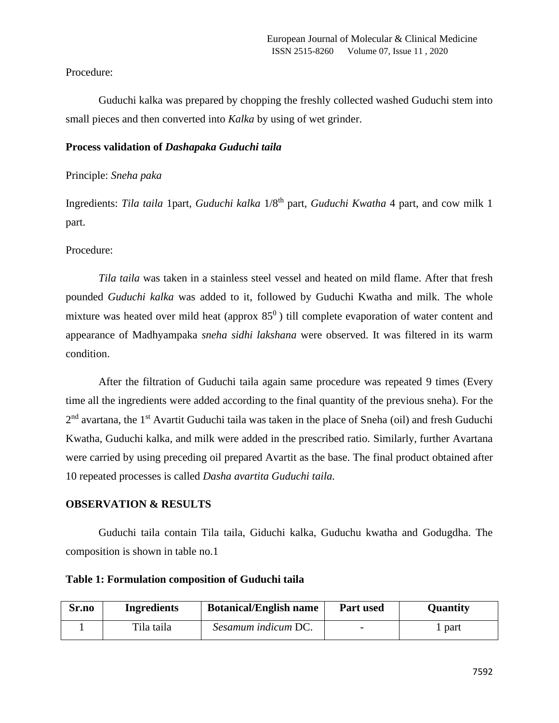#### Procedure:

Guduchi kalka was prepared by chopping the freshly collected washed Guduchi stem into small pieces and then converted into *Kalka* by using of wet grinder.

#### **Process validation of** *Dashapaka Guduchi taila*

#### Principle: *Sneha paka*

Ingredients: *Tila taila* 1part, *Guduchi kalka* 1/8th part, *Guduchi Kwatha* 4 part, and cow milk 1 part.

#### Procedure:

*Tila taila* was taken in a stainless steel vessel and heated on mild flame. After that fresh pounded *Guduchi kalka* was added to it, followed by Guduchi Kwatha and milk. The whole mixture was heated over mild heat (approx  $85^\circ$ ) till complete evaporation of water content and appearance of Madhyampaka *sneha sidhi lakshana* were observed. It was filtered in its warm condition.

After the filtration of Guduchi taila again same procedure was repeated 9 times (Every time all the ingredients were added according to the final quantity of the previous sneha). For the 2<sup>nd</sup> avartana, the 1<sup>st</sup> Avartit Guduchi taila was taken in the place of Sneha (oil) and fresh Guduchi Kwatha, Guduchi kalka, and milk were added in the prescribed ratio. Similarly, further Avartana were carried by using preceding oil prepared Avartit as the base. The final product obtained after 10 repeated processes is called *Dasha avartita Guduchi taila.*

#### **OBSERVATION & RESULTS**

Guduchi taila contain Tila taila, Giduchi kalka, Guduchu kwatha and Godugdha. The composition is shown in table no.1

| Table 1: Formulation composition of Guduchi taila |  |  |  |  |  |  |  |  |  |  |  |
|---------------------------------------------------|--|--|--|--|--|--|--|--|--|--|--|
|---------------------------------------------------|--|--|--|--|--|--|--|--|--|--|--|

| Sr.no | Ingredients | <b>Botanical/English name</b> | <b>Part used</b> | <b>Quantity</b> |
|-------|-------------|-------------------------------|------------------|-----------------|
|       | Tila taila  | Sesamum indicum DC.           |                  | part            |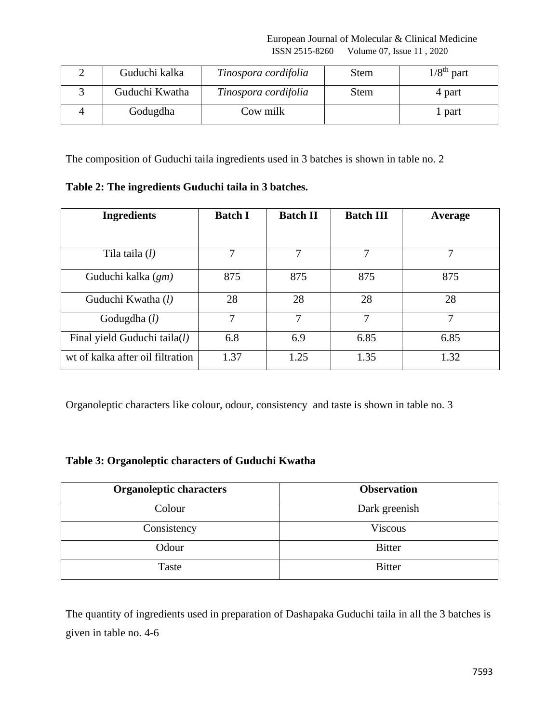European Journal of Molecular & Clinical Medicine ISSN 2515-8260 Volume 07, Issue 11 , 2020

| Guduchi kalka  | Tinospora cordifolia | <b>Stem</b> | $1/8th$ part |
|----------------|----------------------|-------------|--------------|
| Guduchi Kwatha | Tinospora cordifolia | Stem        | 4 part       |
| Godugdha       | Cow milk             |             | part         |

The composition of Guduchi taila ingredients used in 3 batches is shown in table no. 2

| Table 2: The ingredients Guduchi taila in 3 batches. |  |  |  |  |  |
|------------------------------------------------------|--|--|--|--|--|
|                                                      |  |  |  |  |  |

| <b>Ingredients</b>               | <b>Batch I</b> | <b>Batch II</b> | <b>Batch III</b> | Average |
|----------------------------------|----------------|-----------------|------------------|---------|
|                                  |                |                 |                  |         |
| Tila taila $(l)$                 | 7              | 7               | 7                | 7       |
| Guduchi kalka (gm)               | 875            | 875             | 875              | 875     |
| Guduchi Kwatha (l)               | 28             | 28              | 28               | 28      |
| Godugdha $(l)$                   | 7              | 7               | 7                | 7       |
| Final yield Guduchi taila(l)     | 6.8            | 6.9             | 6.85             | 6.85    |
| wt of kalka after oil filtration | 1.37           | 1.25            | 1.35             | 1.32    |

Organoleptic characters like colour, odour, consistency and taste is shown in table no. 3

# **Table 3: Organoleptic characters of Guduchi Kwatha**

| <b>Organoleptic characters</b> | <b>Observation</b> |
|--------------------------------|--------------------|
| Colour                         | Dark greenish      |
| Consistency                    | <b>Viscous</b>     |
| Odour                          | <b>Bitter</b>      |
| Taste                          | <b>Bitter</b>      |

The quantity of ingredients used in preparation of Dashapaka Guduchi taila in all the 3 batches is given in table no. 4-6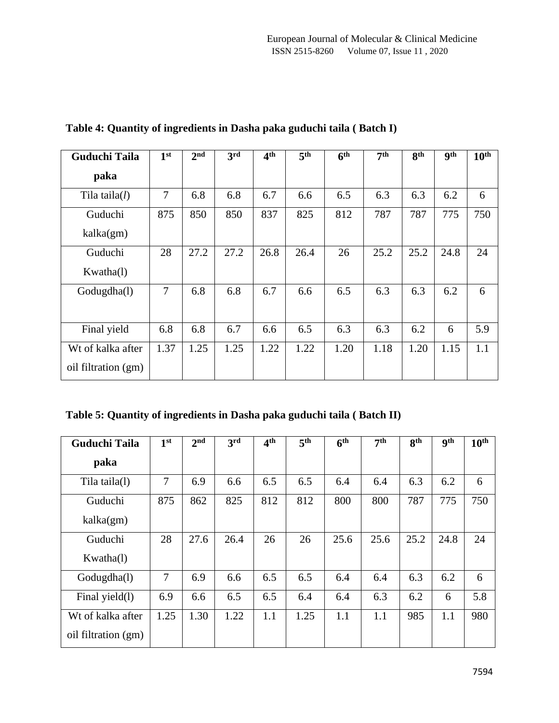| <b>Guduchi Taila</b> | 1 <sup>st</sup> | 2 <sub>nd</sub> | 3rd  | 4 <sup>th</sup> | 5 <sup>th</sup> | 6 <sup>th</sup> | 7 <sup>th</sup> | <b>gth</b> | <b>gth</b> | 10 <sup>th</sup> |
|----------------------|-----------------|-----------------|------|-----------------|-----------------|-----------------|-----------------|------------|------------|------------------|
| paka                 |                 |                 |      |                 |                 |                 |                 |            |            |                  |
| Tila taila $(l)$     | 7               | 6.8             | 6.8  | 6.7             | 6.6             | 6.5             | 6.3             | 6.3        | 6.2        | 6                |
| Guduchi              | 875             | 850             | 850  | 837             | 825             | 812             | 787             | 787        | 775        | 750              |
| kalka(gm)            |                 |                 |      |                 |                 |                 |                 |            |            |                  |
| Guduchi              | 28              | 27.2            | 27.2 | 26.8            | 26.4            | 26              | 25.2            | 25.2       | 24.8       | 24               |
| Kwatha(1)            |                 |                 |      |                 |                 |                 |                 |            |            |                  |
| Godugdha(l)          | $\overline{7}$  | 6.8             | 6.8  | 6.7             | 6.6             | 6.5             | 6.3             | 6.3        | 6.2        | 6                |
|                      |                 |                 |      |                 |                 |                 |                 |            |            |                  |
| Final yield          | 6.8             | 6.8             | 6.7  | 6.6             | 6.5             | 6.3             | 6.3             | 6.2        | 6          | 5.9              |
| Wt of kalka after    | 1.37            | 1.25            | 1.25 | 1.22            | 1.22            | 1.20            | 1.18            | 1.20       | 1.15       | 1.1              |
| oil filtration (gm)  |                 |                 |      |                 |                 |                 |                 |            |            |                  |

**Table 4: Quantity of ingredients in Dasha paka guduchi taila ( Batch I)**

**Table 5: Quantity of ingredients in Dasha paka guduchi taila ( Batch II)**

| <b>Guduchi Taila</b>                     | 1 <sup>st</sup> | 2 <sub>nd</sub> | 3rd  | 4 <sup>th</sup> | 5 <sup>th</sup> | 6 <sup>th</sup> | 7 <sup>th</sup> | 8 <sup>th</sup> | <b>9th</b> | 10 <sup>th</sup> |
|------------------------------------------|-----------------|-----------------|------|-----------------|-----------------|-----------------|-----------------|-----------------|------------|------------------|
| paka                                     |                 |                 |      |                 |                 |                 |                 |                 |            |                  |
| Tila taila(1)                            | 7               | 6.9             | 6.6  | 6.5             | 6.5             | 6.4             | 6.4             | 6.3             | 6.2        | 6                |
| Guduchi<br>kalka(gm)                     | 875             | 862             | 825  | 812             | 812             | 800             | 800             | 787             | 775        | 750              |
| Guduchi<br>Kwatha(1)                     | 28              | 27.6            | 26.4 | 26              | 26              | 25.6            | 25.6            | 25.2            | 24.8       | 24               |
| Godugdha(l)                              | 7               | 6.9             | 6.6  | 6.5             | 6.5             | 6.4             | 6.4             | 6.3             | 6.2        | 6                |
| Final yield(1)                           | 6.9             | 6.6             | 6.5  | 6.5             | 6.4             | 6.4             | 6.3             | 6.2             | 6          | 5.8              |
| Wt of kalka after<br>oil filtration (gm) | 1.25            | 1.30            | 1.22 | 1.1             | 1.25            | 1.1             | 1.1             | 985             | 1.1        | 980              |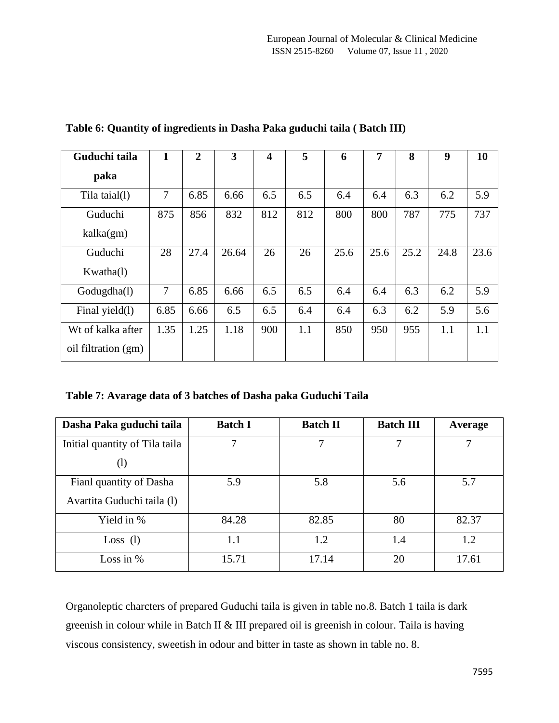| Guduchi taila       | 1              | $\overline{2}$ | 3     | $\overline{\mathbf{4}}$ | 5   | 6    | $\overline{7}$ | 8    | 9    | 10   |
|---------------------|----------------|----------------|-------|-------------------------|-----|------|----------------|------|------|------|
| paka                |                |                |       |                         |     |      |                |      |      |      |
| Tila taial(1)       | $\overline{7}$ | 6.85           | 6.66  | 6.5                     | 6.5 | 6.4  | 6.4            | 6.3  | 6.2  | 5.9  |
| Guduchi             | 875            | 856            | 832   | 812                     | 812 | 800  | 800            | 787  | 775  | 737  |
| kalka(gm)           |                |                |       |                         |     |      |                |      |      |      |
| Guduchi             | 28             | 27.4           | 26.64 | 26                      | 26  | 25.6 | 25.6           | 25.2 | 24.8 | 23.6 |
| Kwatha(1)           |                |                |       |                         |     |      |                |      |      |      |
| Godugdha(l)         | 7              | 6.85           | 6.66  | 6.5                     | 6.5 | 6.4  | 6.4            | 6.3  | 6.2  | 5.9  |
| Final yield(1)      | 6.85           | 6.66           | 6.5   | 6.5                     | 6.4 | 6.4  | 6.3            | 6.2  | 5.9  | 5.6  |
| Wt of kalka after   | 1.35           | 1.25           | 1.18  | 900                     | 1.1 | 850  | 950            | 955  | 1.1  | 1.1  |
| oil filtration (gm) |                |                |       |                         |     |      |                |      |      |      |

**Table 6: Quantity of ingredients in Dasha Paka guduchi taila ( Batch III)**

**Table 7: Avarage data of 3 batches of Dasha paka Guduchi Taila**

| Dasha Paka guduchi taila       | <b>Batch I</b> | <b>Batch II</b> | <b>Batch III</b> | Average |
|--------------------------------|----------------|-----------------|------------------|---------|
| Initial quantity of Tila taila | 7              | 7               | 7                | 7       |
| $\rm (l)$                      |                |                 |                  |         |
| Fianl quantity of Dasha        | 5.9            | 5.8             | 5.6              | 5.7     |
| Avartita Guduchi taila (1)     |                |                 |                  |         |
| Yield in %                     | 84.28          | 82.85           | 80               | 82.37   |
| Loss $(l)$                     | 1.1            | 1.2             | 1.4              | 1.2     |
| Loss in $%$                    | 15.71          | 17.14           | 20               | 17.61   |

Organoleptic charcters of prepared Guduchi taila is given in table no.8. Batch 1 taila is dark greenish in colour while in Batch II & III prepared oil is greenish in colour. Taila is having viscous consistency, sweetish in odour and bitter in taste as shown in table no. 8.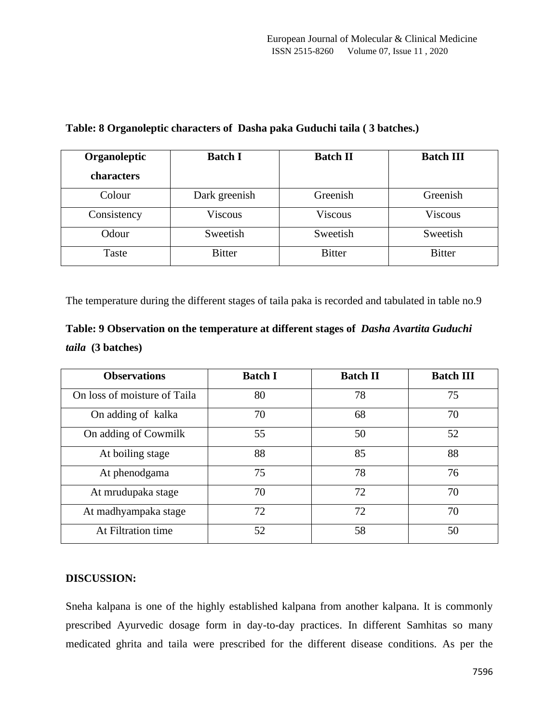| Organoleptic<br>characters | <b>Batch I</b> | <b>Batch II</b> | <b>Batch III</b> |
|----------------------------|----------------|-----------------|------------------|
| Colour                     | Dark greenish  | Greenish        | Greenish         |
| Consistency                | <b>Viscous</b> | <b>Viscous</b>  | Viscous          |
| Odour                      | Sweetish       | Sweetish        | Sweetish         |
| Taste                      | <b>Bitter</b>  | <b>Bitter</b>   | <b>Bitter</b>    |

# **Table: 8 Organoleptic characters of Dasha paka Guduchi taila ( 3 batches.)**

The temperature during the different stages of taila paka is recorded and tabulated in table no.9

| Table: 9 Observation on the temperature at different stages of <i>Dasha Avartita Guduchi</i> |  |
|----------------------------------------------------------------------------------------------|--|
| <i>taila</i> (3 batches)                                                                     |  |

| <b>Observations</b>          | <b>Batch I</b> | <b>Batch II</b> | <b>Batch III</b> |
|------------------------------|----------------|-----------------|------------------|
| On loss of moisture of Taila | 80             | 78              | 75               |
| On adding of kalka           | 70             | 68              | 70               |
| On adding of Cowmilk         | 55             | 50              | 52               |
| At boiling stage             | 88             | 85              | 88               |
| At phenodgama                | 75             | 78              | 76               |
| At mrudupaka stage           | 70             | 72              | 70               |
| At madhyampaka stage         | 72             | 72              | 70               |
| At Filtration time           | 52             | 58              | 50               |

## **DISCUSSION:**

Sneha kalpana is one of the highly established kalpana from another kalpana. It is commonly prescribed Ayurvedic dosage form in day-to-day practices. In different Samhitas so many medicated ghrita and taila were prescribed for the different disease conditions. As per the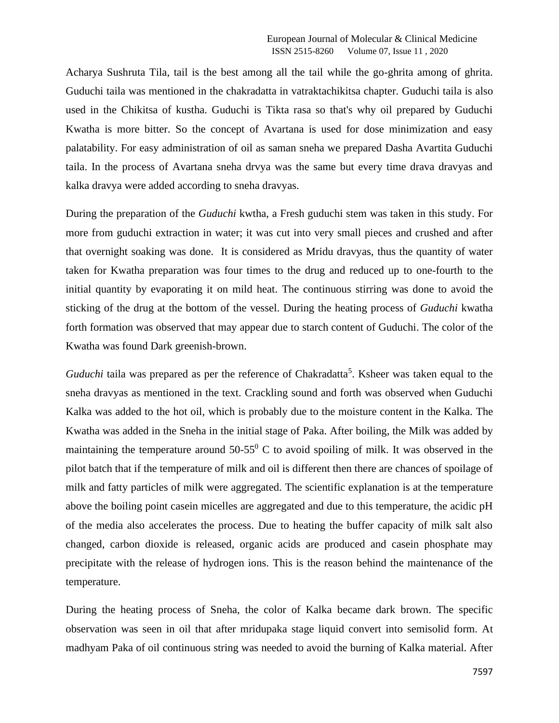Acharya Sushruta Tila, tail is the best among all the tail while the go-ghrita among of ghrita. Guduchi taila was mentioned in the chakradatta in vatraktachikitsa chapter. Guduchi taila is also used in the Chikitsa of kustha. Guduchi is Tikta rasa so that's why oil prepared by Guduchi Kwatha is more bitter. So the concept of Avartana is used for dose minimization and easy palatability. For easy administration of oil as saman sneha we prepared Dasha Avartita Guduchi taila. In the process of Avartana sneha drvya was the same but every time drava dravyas and kalka dravya were added according to sneha dravyas.

During the preparation of the *Guduchi* kwtha, a Fresh guduchi stem was taken in this study. For more from guduchi extraction in water; it was cut into very small pieces and crushed and after that overnight soaking was done. It is considered as Mridu dravyas, thus the quantity of water taken for Kwatha preparation was four times to the drug and reduced up to one-fourth to the initial quantity by evaporating it on mild heat. The continuous stirring was done to avoid the sticking of the drug at the bottom of the vessel. During the heating process of *Guduchi* kwatha forth formation was observed that may appear due to starch content of Guduchi. The color of the Kwatha was found Dark greenish-brown.

Guduchi taila was prepared as per the reference of Chakradatta<sup>5</sup>. Ksheer was taken equal to the sneha dravyas as mentioned in the text. Crackling sound and forth was observed when Guduchi Kalka was added to the hot oil, which is probably due to the moisture content in the Kalka. The Kwatha was added in the Sneha in the initial stage of Paka. After boiling, the Milk was added by maintaining the temperature around  $50-55^\circ$  C to avoid spoiling of milk. It was observed in the pilot batch that if the temperature of milk and oil is different then there are chances of spoilage of milk and fatty particles of milk were aggregated. The scientific explanation is at the temperature above the boiling point casein micelles are aggregated and due to this temperature, the acidic pH of the media also accelerates the process. Due to heating the buffer capacity of milk salt also changed, carbon dioxide is released, organic acids are produced and casein phosphate may precipitate with the release of hydrogen ions. This is the reason behind the maintenance of the temperature.

During the heating process of Sneha, the color of Kalka became dark brown. The specific observation was seen in oil that after mridupaka stage liquid convert into semisolid form. At madhyam Paka of oil continuous string was needed to avoid the burning of Kalka material. After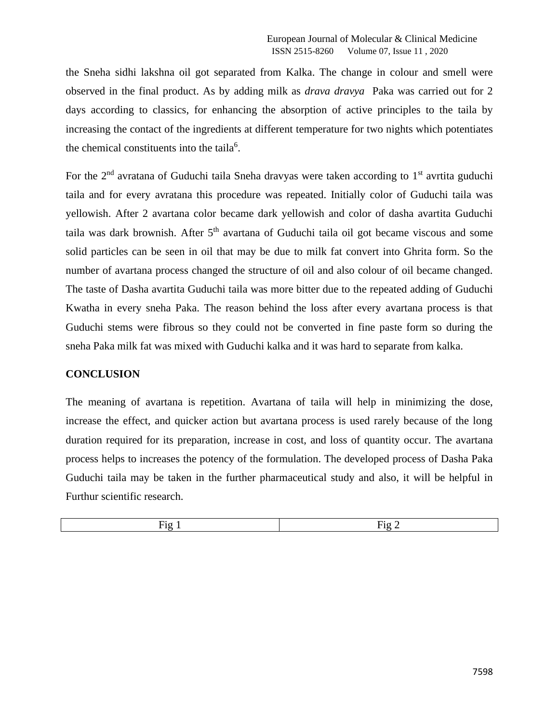the Sneha sidhi lakshna oil got separated from Kalka. The change in colour and smell were observed in the final product. As by adding milk as *drava dravya* Paka was carried out for 2 days according to classics, for enhancing the absorption of active principles to the taila by increasing the contact of the ingredients at different temperature for two nights which potentiates the chemical constituents into the taila<sup>6</sup>.

For the  $2<sup>nd</sup>$  avratana of Guduchi taila Sneha dravyas were taken according to  $1<sup>st</sup>$  avrtita guduchi taila and for every avratana this procedure was repeated. Initially color of Guduchi taila was yellowish. After 2 avartana color became dark yellowish and color of dasha avartita Guduchi taila was dark brownish. After  $5<sup>th</sup>$  avartana of Guduchi taila oil got became viscous and some solid particles can be seen in oil that may be due to milk fat convert into Ghrita form. So the number of avartana process changed the structure of oil and also colour of oil became changed. The taste of Dasha avartita Guduchi taila was more bitter due to the repeated adding of Guduchi Kwatha in every sneha Paka. The reason behind the loss after every avartana process is that Guduchi stems were fibrous so they could not be converted in fine paste form so during the sneha Paka milk fat was mixed with Guduchi kalka and it was hard to separate from kalka.

## **CONCLUSION**

The meaning of avartana is repetition. Avartana of taila will help in minimizing the dose, increase the effect, and quicker action but avartana process is used rarely because of the long duration required for its preparation, increase in cost, and loss of quantity occur. The avartana process helps to increases the potency of the formulation. The developed process of Dasha Paka Guduchi taila may be taken in the further pharmaceutical study and also, it will be helpful in Furthur scientific research.

| $\sim$<br>Hτσ | $\overline{\phantom{a}}$<br>$H_1$ $\sigma$<br>. . |
|---------------|---------------------------------------------------|
| $\sim$        | _<br>$\overline{\phantom{0}}$                     |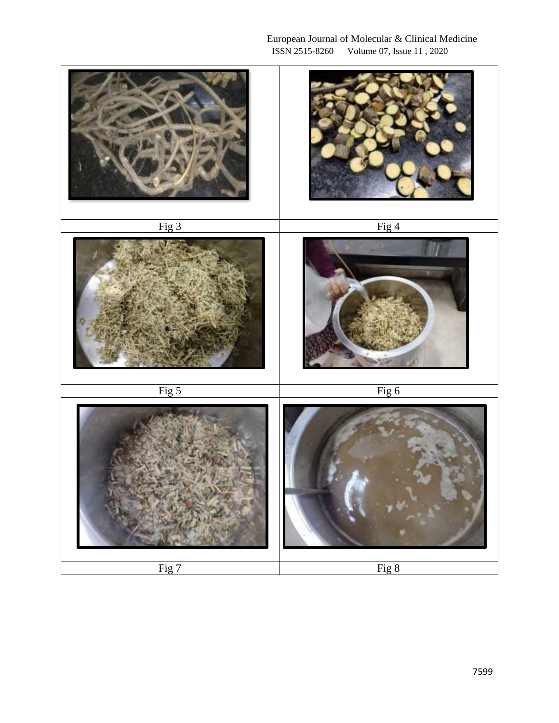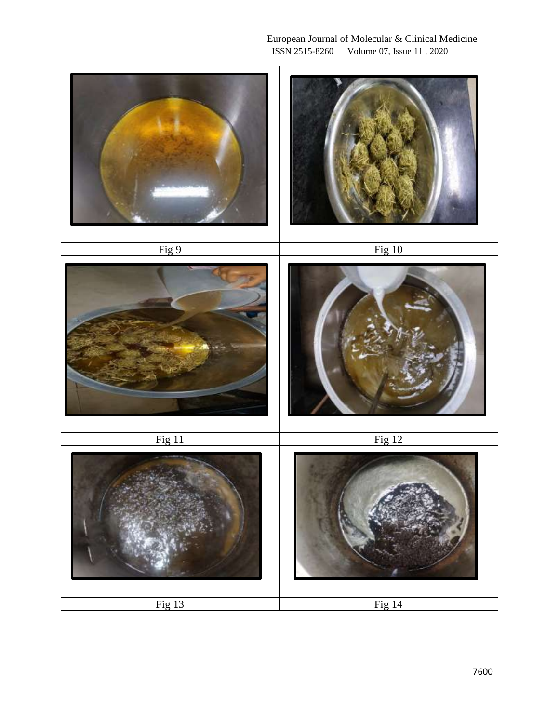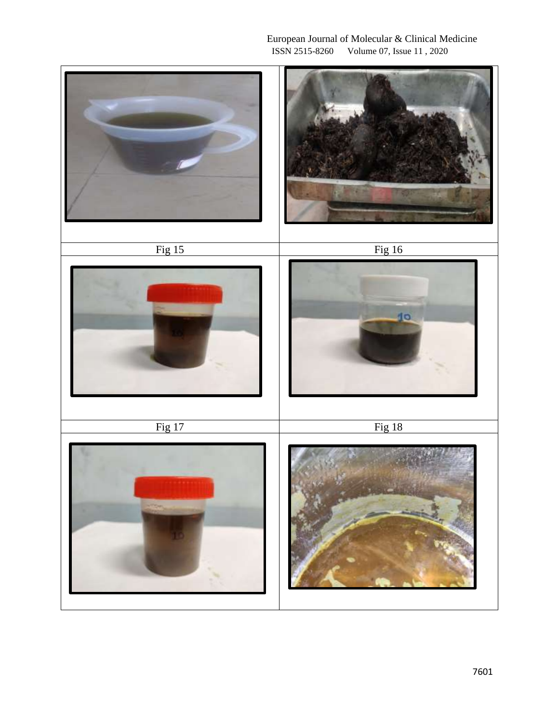## European Journal of Molecular & Clinical Medicine<br>ISSN 2515-8260 Volume 07, Issue 11, 2020 Volume 07, Issue 11, 2020

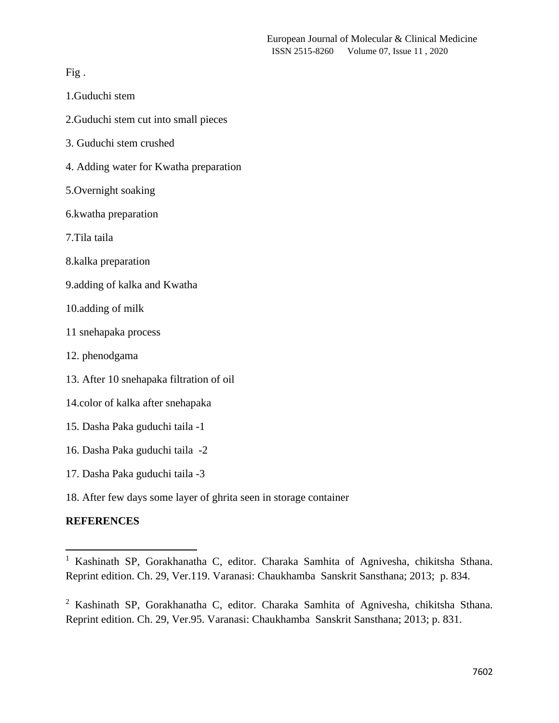Fig .

- 1.Guduchi stem
- 2.Guduchi stem cut into small pieces
- 3. Guduchi stem crushed
- 4. Adding water for Kwatha preparation
- 5.Overnight soaking
- 6.kwatha preparation
- 7.Tila taila
- 8.kalka preparation
- 9.adding of kalka and Kwatha
- 10.adding of milk
- 11 snehapaka process
- 12. phenodgama
- 13. After 10 snehapaka filtration of oil
- 14.color of kalka after snehapaka
- 15. Dasha Paka guduchi taila -1
- 16. Dasha Paka guduchi taila -2
- 17. Dasha Paka guduchi taila -3
- 18. After few days some layer of ghrita seen in storage container

#### **REFERENCES**

<sup>&</sup>lt;sup>1</sup> Kashinath SP, Gorakhanatha C, editor. Charaka Samhita of Agnivesha, chikitsha Sthana. Reprint edition. Ch. 29, Ver.119. Varanasi: Chaukhamba Sanskrit Sansthana; 2013; p. 834.

<sup>2</sup> Kashinath SP, Gorakhanatha C, editor. Charaka Samhita of Agnivesha, chikitsha Sthana. Reprint edition. Ch. 29, Ver.95. Varanasi: Chaukhamba Sanskrit Sansthana; 2013; p. 831.